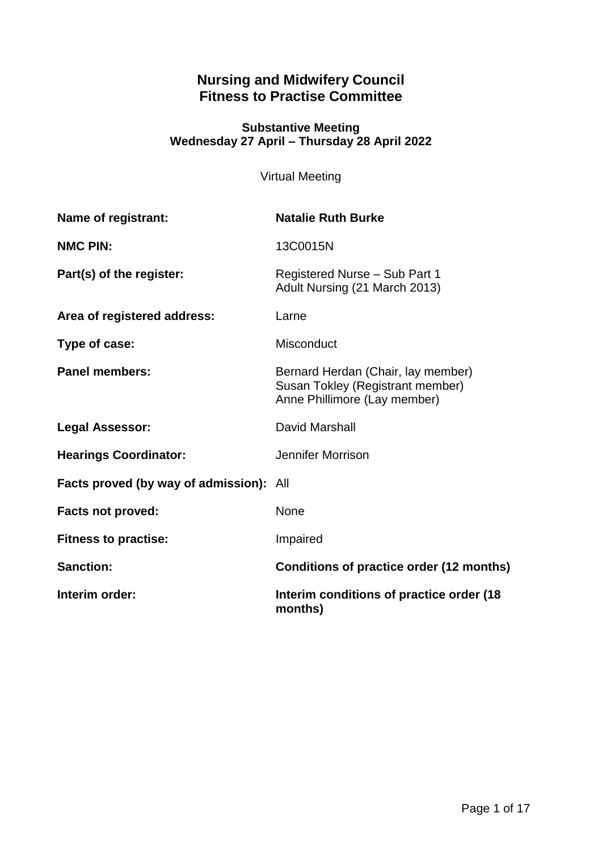## **Nursing and Midwifery Council Fitness to Practise Committee**

### **Substantive Meeting Wednesday 27 April – Thursday 28 April 2022**

Virtual Meeting

| <b>Name of registrant:</b>                     | <b>Natalie Ruth Burke</b>                                                                              |
|------------------------------------------------|--------------------------------------------------------------------------------------------------------|
| <b>NMC PIN:</b>                                | 13C0015N                                                                                               |
| Part(s) of the register:                       | Registered Nurse - Sub Part 1<br>Adult Nursing (21 March 2013)                                         |
| Area of registered address:                    | Larne                                                                                                  |
| Type of case:                                  | <b>Misconduct</b>                                                                                      |
| <b>Panel members:</b>                          | Bernard Herdan (Chair, lay member)<br>Susan Tokley (Registrant member)<br>Anne Phillimore (Lay member) |
| <b>Legal Assessor:</b>                         | David Marshall                                                                                         |
| <b>Hearings Coordinator:</b>                   | Jennifer Morrison                                                                                      |
| <b>Facts proved (by way of admission):</b> All |                                                                                                        |
| <b>Facts not proved:</b>                       | <b>None</b>                                                                                            |
| <b>Fitness to practise:</b>                    | Impaired                                                                                               |
| <b>Sanction:</b>                               | Conditions of practice order (12 months)                                                               |
| Interim order:                                 | Interim conditions of practice order (18<br>months)                                                    |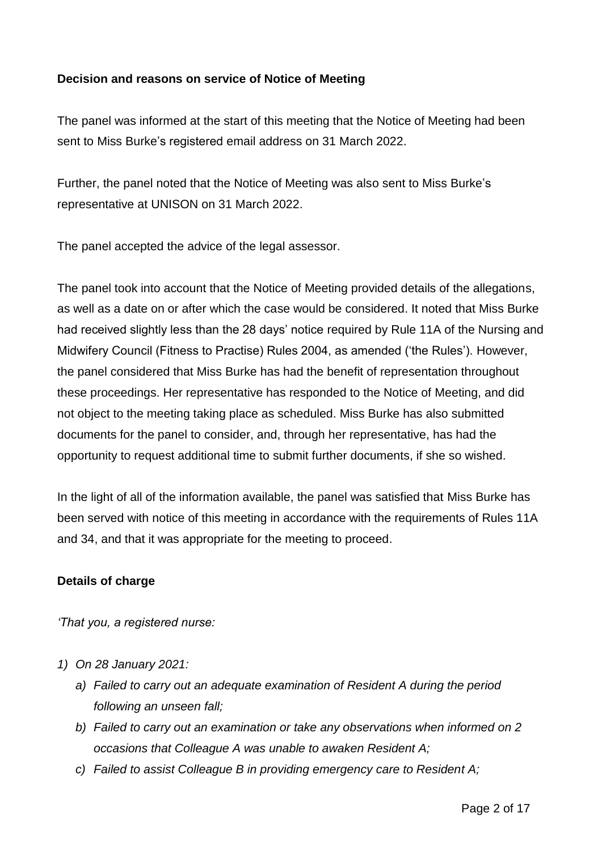## **Decision and reasons on service of Notice of Meeting**

The panel was informed at the start of this meeting that the Notice of Meeting had been sent to Miss Burke's registered email address on 31 March 2022.

Further, the panel noted that the Notice of Meeting was also sent to Miss Burke's representative at UNISON on 31 March 2022.

The panel accepted the advice of the legal assessor.

The panel took into account that the Notice of Meeting provided details of the allegations, as well as a date on or after which the case would be considered. It noted that Miss Burke had received slightly less than the 28 days' notice required by Rule 11A of the Nursing and Midwifery Council (Fitness to Practise) Rules 2004, as amended ('the Rules'). However, the panel considered that Miss Burke has had the benefit of representation throughout these proceedings. Her representative has responded to the Notice of Meeting, and did not object to the meeting taking place as scheduled. Miss Burke has also submitted documents for the panel to consider, and, through her representative, has had the opportunity to request additional time to submit further documents, if she so wished.

In the light of all of the information available, the panel was satisfied that Miss Burke has been served with notice of this meeting in accordance with the requirements of Rules 11A and 34, and that it was appropriate for the meeting to proceed.

## **Details of charge**

*'That you, a registered nurse:*

- *1) On 28 January 2021:*
	- *a) Failed to carry out an adequate examination of Resident A during the period following an unseen fall;*
	- *b) Failed to carry out an examination or take any observations when informed on 2 occasions that Colleague A was unable to awaken Resident A;*
	- *c) Failed to assist Colleague B in providing emergency care to Resident A;*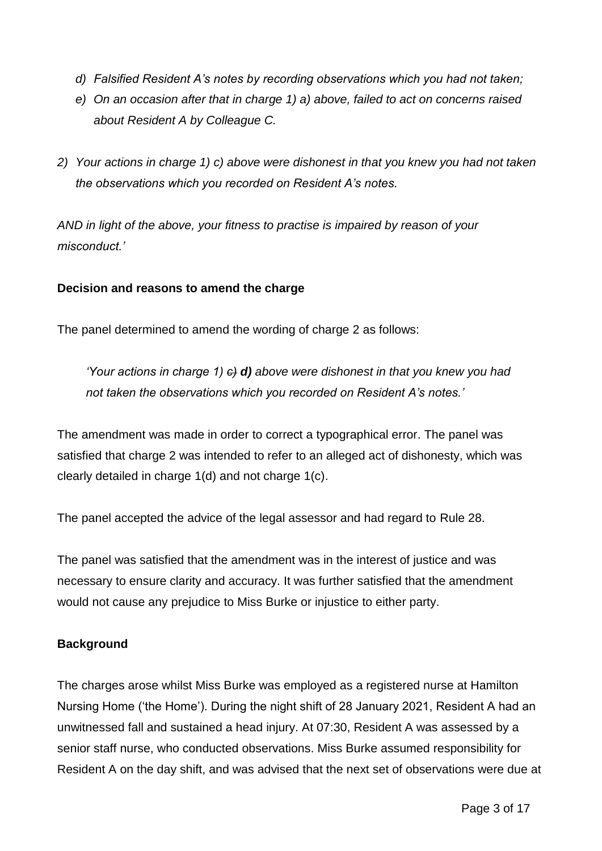- *d) Falsified Resident A's notes by recording observations which you had not taken;*
- *e) On an occasion after that in charge 1) a) above, failed to act on concerns raised about Resident A by Colleague C.*
- *2) Your actions in charge 1) c) above were dishonest in that you knew you had not taken the observations which you recorded on Resident A's notes.*

*AND in light of the above, your fitness to practise is impaired by reason of your misconduct.'*

## **Decision and reasons to amend the charge**

The panel determined to amend the wording of charge 2 as follows:

*'Your actions in charge 1)*  $\theta$  *d) above were dishonest in that you knew you had not taken the observations which you recorded on Resident A's notes.'*

The amendment was made in order to correct a typographical error. The panel was satisfied that charge 2 was intended to refer to an alleged act of dishonesty, which was clearly detailed in charge 1(d) and not charge 1(c).

The panel accepted the advice of the legal assessor and had regard to Rule 28.

The panel was satisfied that the amendment was in the interest of justice and was necessary to ensure clarity and accuracy. It was further satisfied that the amendment would not cause any prejudice to Miss Burke or injustice to either party.

### **Background**

The charges arose whilst Miss Burke was employed as a registered nurse at Hamilton Nursing Home ('the Home'). During the night shift of 28 January 2021, Resident A had an unwitnessed fall and sustained a head injury. At 07:30, Resident A was assessed by a senior staff nurse, who conducted observations. Miss Burke assumed responsibility for Resident A on the day shift, and was advised that the next set of observations were due at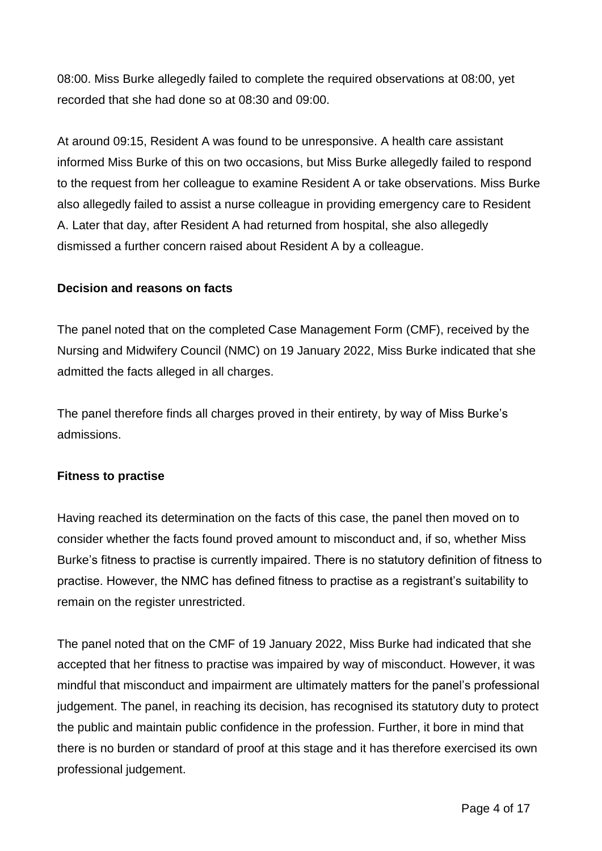08:00. Miss Burke allegedly failed to complete the required observations at 08:00, yet recorded that she had done so at 08:30 and 09:00.

At around 09:15, Resident A was found to be unresponsive. A health care assistant informed Miss Burke of this on two occasions, but Miss Burke allegedly failed to respond to the request from her colleague to examine Resident A or take observations. Miss Burke also allegedly failed to assist a nurse colleague in providing emergency care to Resident A. Later that day, after Resident A had returned from hospital, she also allegedly dismissed a further concern raised about Resident A by a colleague.

### **Decision and reasons on facts**

The panel noted that on the completed Case Management Form (CMF), received by the Nursing and Midwifery Council (NMC) on 19 January 2022, Miss Burke indicated that she admitted the facts alleged in all charges.

The panel therefore finds all charges proved in their entirety, by way of Miss Burke's admissions.

### **Fitness to practise**

Having reached its determination on the facts of this case, the panel then moved on to consider whether the facts found proved amount to misconduct and, if so, whether Miss Burke's fitness to practise is currently impaired. There is no statutory definition of fitness to practise. However, the NMC has defined fitness to practise as a registrant's suitability to remain on the register unrestricted.

The panel noted that on the CMF of 19 January 2022, Miss Burke had indicated that she accepted that her fitness to practise was impaired by way of misconduct. However, it was mindful that misconduct and impairment are ultimately matters for the panel's professional judgement. The panel, in reaching its decision, has recognised its statutory duty to protect the public and maintain public confidence in the profession. Further, it bore in mind that there is no burden or standard of proof at this stage and it has therefore exercised its own professional judgement.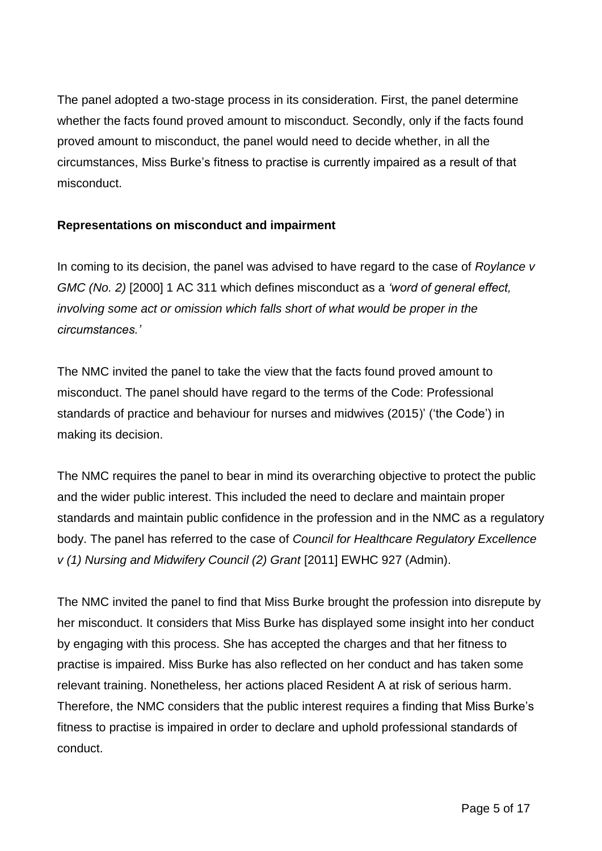The panel adopted a two-stage process in its consideration. First, the panel determine whether the facts found proved amount to misconduct. Secondly, only if the facts found proved amount to misconduct, the panel would need to decide whether, in all the circumstances, Miss Burke's fitness to practise is currently impaired as a result of that misconduct.

## **Representations on misconduct and impairment**

In coming to its decision, the panel was advised to have regard to the case of *Roylance v GMC (No. 2)* [2000] 1 AC 311 which defines misconduct as a *'word of general effect, involving some act or omission which falls short of what would be proper in the circumstances.'*

The NMC invited the panel to take the view that the facts found proved amount to misconduct. The panel should have regard to the terms of the Code: Professional standards of practice and behaviour for nurses and midwives (2015)' ('the Code') in making its decision.

The NMC requires the panel to bear in mind its overarching objective to protect the public and the wider public interest. This included the need to declare and maintain proper standards and maintain public confidence in the profession and in the NMC as a regulatory body. The panel has referred to the case of *Council for Healthcare Regulatory Excellence v (1) Nursing and Midwifery Council (2) Grant* [2011] EWHC 927 (Admin).

The NMC invited the panel to find that Miss Burke brought the profession into disrepute by her misconduct. It considers that Miss Burke has displayed some insight into her conduct by engaging with this process. She has accepted the charges and that her fitness to practise is impaired. Miss Burke has also reflected on her conduct and has taken some relevant training. Nonetheless, her actions placed Resident A at risk of serious harm. Therefore, the NMC considers that the public interest requires a finding that Miss Burke's fitness to practise is impaired in order to declare and uphold professional standards of conduct.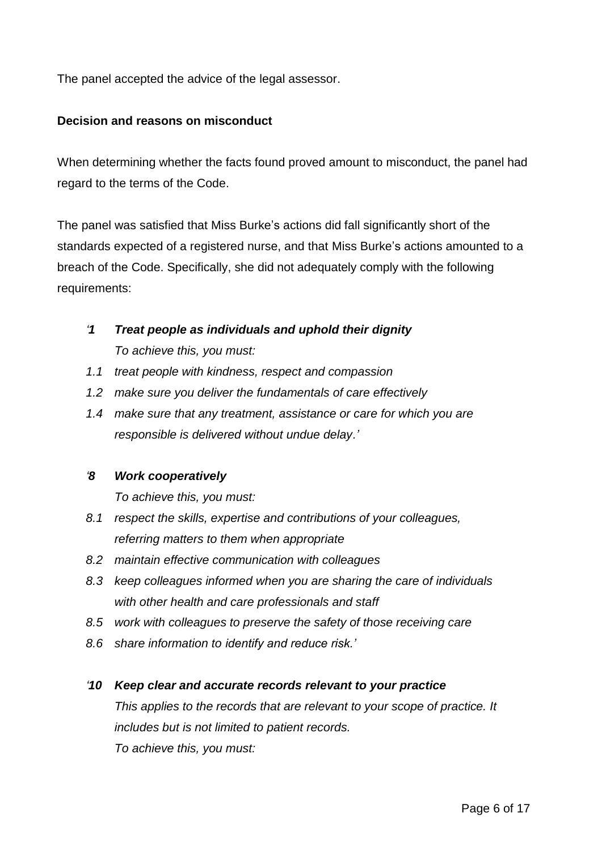The panel accepted the advice of the legal assessor.

### **Decision and reasons on misconduct**

When determining whether the facts found proved amount to misconduct, the panel had regard to the terms of the Code.

The panel was satisfied that Miss Burke's actions did fall significantly short of the standards expected of a registered nurse, and that Miss Burke's actions amounted to a breach of the Code. Specifically, she did not adequately comply with the following requirements:

# *'1 Treat people as individuals and uphold their dignity To achieve this, you must:*

- *1.1 treat people with kindness, respect and compassion*
- *1.2 make sure you deliver the fundamentals of care effectively*
- *1.4 make sure that any treatment, assistance or care for which you are responsible is delivered without undue delay.'*

## *'8 Work cooperatively*

*To achieve this, you must:* 

- *8.1 respect the skills, expertise and contributions of your colleagues, referring matters to them when appropriate*
- *8.2 maintain effective communication with colleagues*
- *8.3 keep colleagues informed when you are sharing the care of individuals with other health and care professionals and staff*
- *8.5 work with colleagues to preserve the safety of those receiving care*
- *8.6 share information to identify and reduce risk.'*

### *'10 Keep clear and accurate records relevant to your practice*

*This applies to the records that are relevant to your scope of practice. It includes but is not limited to patient records. To achieve this, you must:*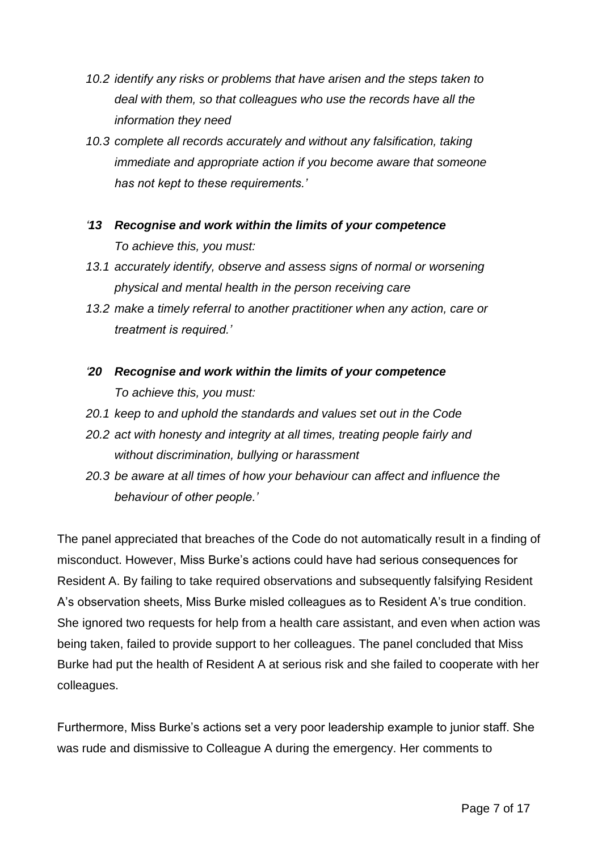- *10.2 identify any risks or problems that have arisen and the steps taken to deal with them, so that colleagues who use the records have all the information they need*
- *10.3 complete all records accurately and without any falsification, taking immediate and appropriate action if you become aware that someone has not kept to these requirements.'*
- *'13 Recognise and work within the limits of your competence To achieve this, you must:*
- *13.1 accurately identify, observe and assess signs of normal or worsening physical and mental health in the person receiving care*
- *13.2 make a timely referral to another practitioner when any action, care or treatment is required.'*
- *'20 Recognise and work within the limits of your competence To achieve this, you must:*
- *20.1 keep to and uphold the standards and values set out in the Code*
- *20.2 act with honesty and integrity at all times, treating people fairly and without discrimination, bullying or harassment*
- *20.3 be aware at all times of how your behaviour can affect and influence the behaviour of other people.'*

The panel appreciated that breaches of the Code do not automatically result in a finding of misconduct. However, Miss Burke's actions could have had serious consequences for Resident A. By failing to take required observations and subsequently falsifying Resident A's observation sheets, Miss Burke misled colleagues as to Resident A's true condition. She ignored two requests for help from a health care assistant, and even when action was being taken, failed to provide support to her colleagues. The panel concluded that Miss Burke had put the health of Resident A at serious risk and she failed to cooperate with her colleagues.

Furthermore, Miss Burke's actions set a very poor leadership example to junior staff. She was rude and dismissive to Colleague A during the emergency. Her comments to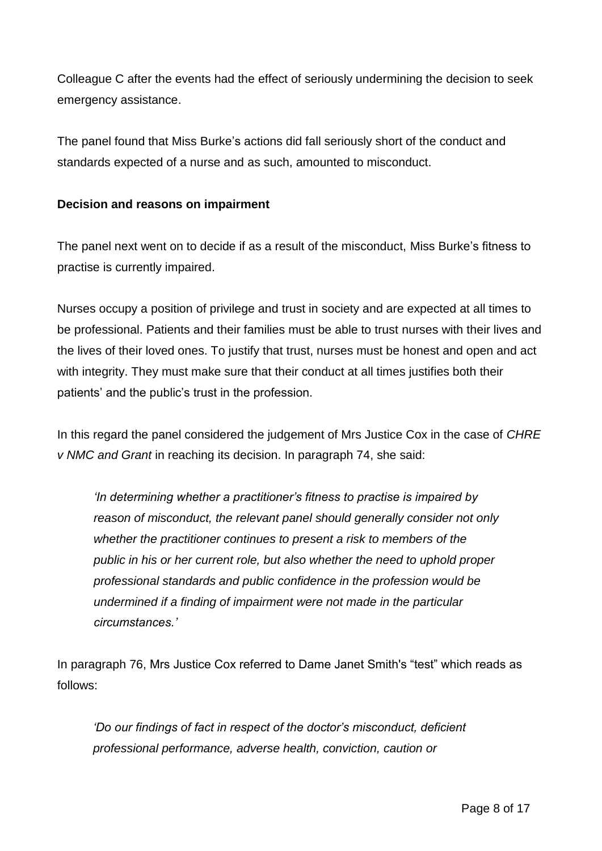Colleague C after the events had the effect of seriously undermining the decision to seek emergency assistance.

The panel found that Miss Burke's actions did fall seriously short of the conduct and standards expected of a nurse and as such, amounted to misconduct.

### **Decision and reasons on impairment**

The panel next went on to decide if as a result of the misconduct, Miss Burke's fitness to practise is currently impaired.

Nurses occupy a position of privilege and trust in society and are expected at all times to be professional. Patients and their families must be able to trust nurses with their lives and the lives of their loved ones. To justify that trust, nurses must be honest and open and act with integrity. They must make sure that their conduct at all times justifies both their patients' and the public's trust in the profession.

In this regard the panel considered the judgement of Mrs Justice Cox in the case of *CHRE v NMC and Grant* in reaching its decision. In paragraph 74, she said:

*'In determining whether a practitioner's fitness to practise is impaired by reason of misconduct, the relevant panel should generally consider not only whether the practitioner continues to present a risk to members of the public in his or her current role, but also whether the need to uphold proper professional standards and public confidence in the profession would be undermined if a finding of impairment were not made in the particular circumstances.'*

In paragraph 76, Mrs Justice Cox referred to Dame Janet Smith's "test" which reads as follows:

*'Do our findings of fact in respect of the doctor's misconduct, deficient professional performance, adverse health, conviction, caution or*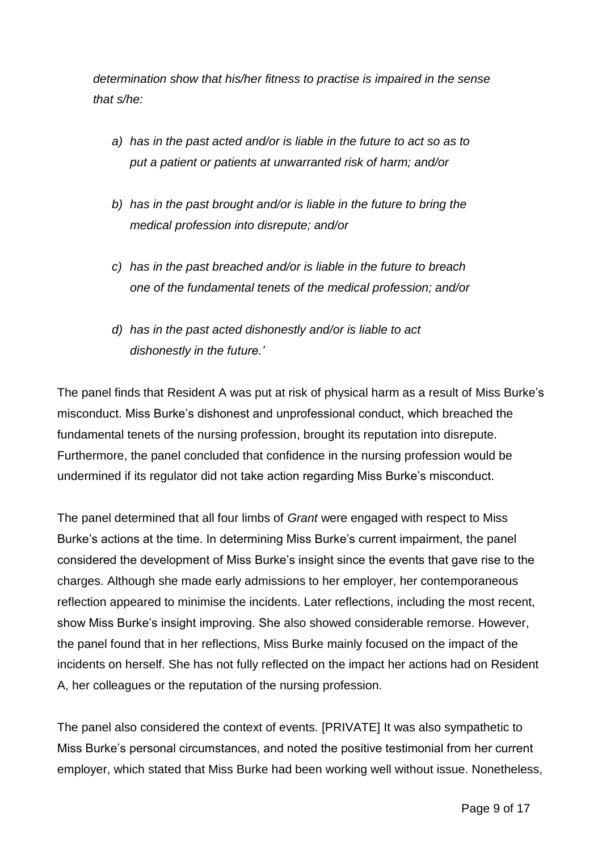*determination show that his/her fitness to practise is impaired in the sense that s/he:*

- *a) has in the past acted and/or is liable in the future to act so as to put a patient or patients at unwarranted risk of harm; and/or*
- *b) has in the past brought and/or is liable in the future to bring the medical profession into disrepute; and/or*
- *c) has in the past breached and/or is liable in the future to breach one of the fundamental tenets of the medical profession; and/or*
- *d) has in the past acted dishonestly and/or is liable to act dishonestly in the future.'*

The panel finds that Resident A was put at risk of physical harm as a result of Miss Burke's misconduct. Miss Burke's dishonest and unprofessional conduct, which breached the fundamental tenets of the nursing profession, brought its reputation into disrepute. Furthermore, the panel concluded that confidence in the nursing profession would be undermined if its regulator did not take action regarding Miss Burke's misconduct.

The panel determined that all four limbs of *Grant* were engaged with respect to Miss Burke's actions at the time. In determining Miss Burke's current impairment, the panel considered the development of Miss Burke's insight since the events that gave rise to the charges. Although she made early admissions to her employer, her contemporaneous reflection appeared to minimise the incidents. Later reflections, including the most recent, show Miss Burke's insight improving. She also showed considerable remorse. However, the panel found that in her reflections, Miss Burke mainly focused on the impact of the incidents on herself. She has not fully reflected on the impact her actions had on Resident A, her colleagues or the reputation of the nursing profession.

The panel also considered the context of events. [PRIVATE] It was also sympathetic to Miss Burke's personal circumstances, and noted the positive testimonial from her current employer, which stated that Miss Burke had been working well without issue. Nonetheless,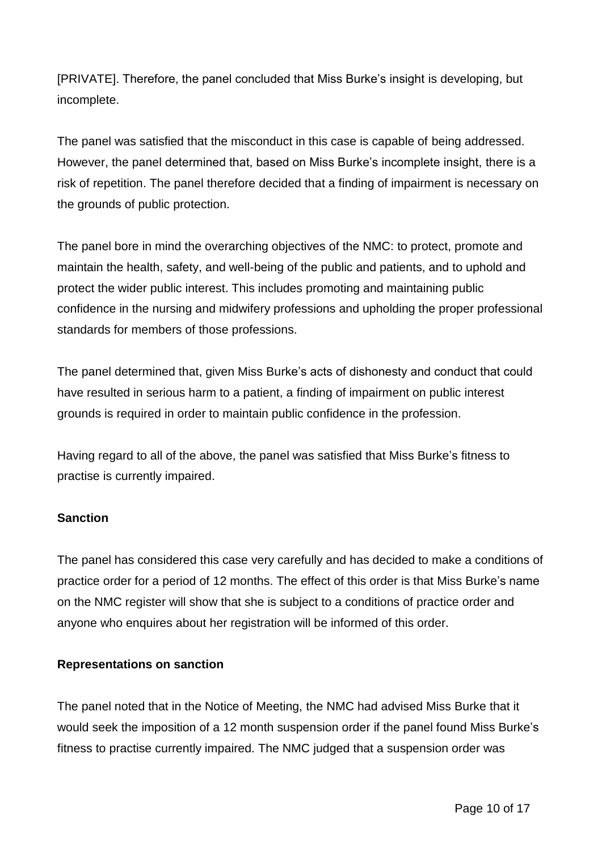[PRIVATE]. Therefore, the panel concluded that Miss Burke's insight is developing, but incomplete.

The panel was satisfied that the misconduct in this case is capable of being addressed. However, the panel determined that, based on Miss Burke's incomplete insight, there is a risk of repetition. The panel therefore decided that a finding of impairment is necessary on the grounds of public protection.

The panel bore in mind the overarching objectives of the NMC: to protect, promote and maintain the health, safety, and well-being of the public and patients, and to uphold and protect the wider public interest. This includes promoting and maintaining public confidence in the nursing and midwifery professions and upholding the proper professional standards for members of those professions.

The panel determined that, given Miss Burke's acts of dishonesty and conduct that could have resulted in serious harm to a patient, a finding of impairment on public interest grounds is required in order to maintain public confidence in the profession.

Having regard to all of the above, the panel was satisfied that Miss Burke's fitness to practise is currently impaired.

## **Sanction**

The panel has considered this case very carefully and has decided to make a conditions of practice order for a period of 12 months. The effect of this order is that Miss Burke's name on the NMC register will show that she is subject to a conditions of practice order and anyone who enquires about her registration will be informed of this order.

### **Representations on sanction**

The panel noted that in the Notice of Meeting, the NMC had advised Miss Burke that it would seek the imposition of a 12 month suspension order if the panel found Miss Burke's fitness to practise currently impaired. The NMC judged that a suspension order was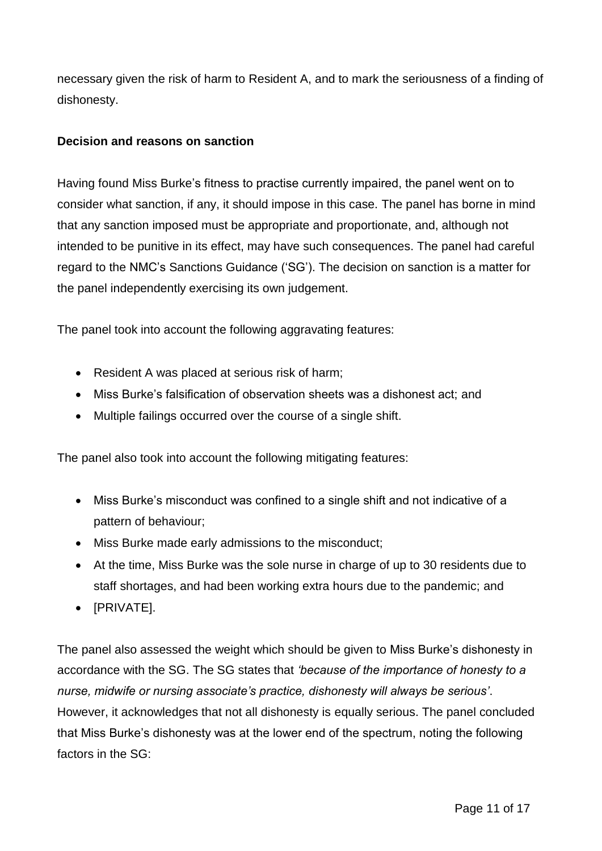necessary given the risk of harm to Resident A, and to mark the seriousness of a finding of dishonesty.

### **Decision and reasons on sanction**

Having found Miss Burke's fitness to practise currently impaired, the panel went on to consider what sanction, if any, it should impose in this case. The panel has borne in mind that any sanction imposed must be appropriate and proportionate, and, although not intended to be punitive in its effect, may have such consequences. The panel had careful regard to the NMC's Sanctions Guidance ('SG'). The decision on sanction is a matter for the panel independently exercising its own judgement.

The panel took into account the following aggravating features:

- Resident A was placed at serious risk of harm;
- Miss Burke's falsification of observation sheets was a dishonest act; and
- Multiple failings occurred over the course of a single shift.

The panel also took into account the following mitigating features:

- Miss Burke's misconduct was confined to a single shift and not indicative of a pattern of behaviour;
- Miss Burke made early admissions to the misconduct;
- At the time, Miss Burke was the sole nurse in charge of up to 30 residents due to staff shortages, and had been working extra hours due to the pandemic; and
- [PRIVATE].

The panel also assessed the weight which should be given to Miss Burke's dishonesty in accordance with the SG. The SG states that *'because of the importance of honesty to a nurse, midwife or nursing associate's practice, dishonesty will always be serious'*. However, it acknowledges that not all dishonesty is equally serious. The panel concluded that Miss Burke's dishonesty was at the lower end of the spectrum, noting the following factors in the SG: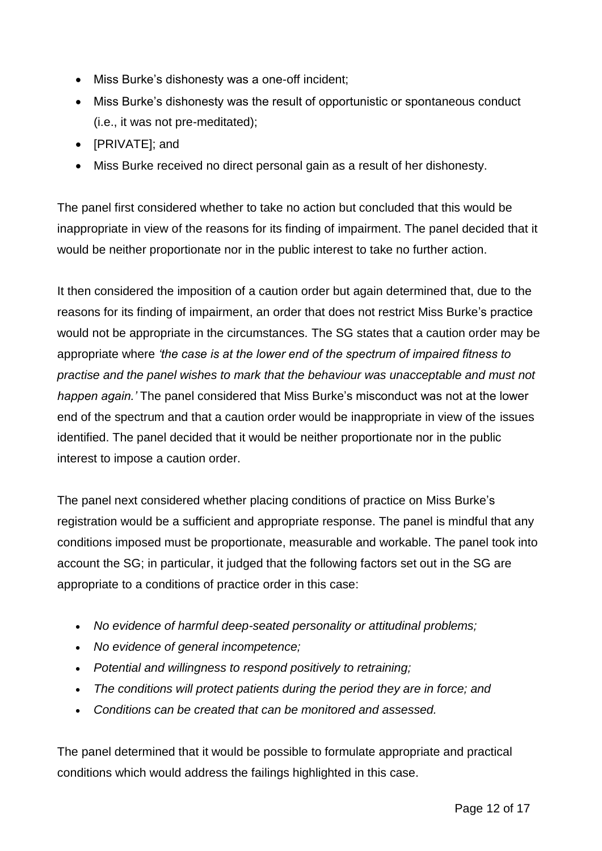- Miss Burke's dishonesty was a one-off incident;
- Miss Burke's dishonesty was the result of opportunistic or spontaneous conduct (i.e., it was not pre-meditated);
- [PRIVATE]; and
- Miss Burke received no direct personal gain as a result of her dishonesty.

The panel first considered whether to take no action but concluded that this would be inappropriate in view of the reasons for its finding of impairment. The panel decided that it would be neither proportionate nor in the public interest to take no further action.

It then considered the imposition of a caution order but again determined that, due to the reasons for its finding of impairment, an order that does not restrict Miss Burke's practice would not be appropriate in the circumstances. The SG states that a caution order may be appropriate where *'the case is at the lower end of the spectrum of impaired fitness to practise and the panel wishes to mark that the behaviour was unacceptable and must not happen again.'* The panel considered that Miss Burke's misconduct was not at the lower end of the spectrum and that a caution order would be inappropriate in view of the issues identified. The panel decided that it would be neither proportionate nor in the public interest to impose a caution order.

The panel next considered whether placing conditions of practice on Miss Burke's registration would be a sufficient and appropriate response. The panel is mindful that any conditions imposed must be proportionate, measurable and workable. The panel took into account the SG; in particular, it judged that the following factors set out in the SG are appropriate to a conditions of practice order in this case:

- *No evidence of harmful deep-seated personality or attitudinal problems;*
- *No evidence of general incompetence;*
- *Potential and willingness to respond positively to retraining;*
- *The conditions will protect patients during the period they are in force; and*
- *Conditions can be created that can be monitored and assessed.*

The panel determined that it would be possible to formulate appropriate and practical conditions which would address the failings highlighted in this case.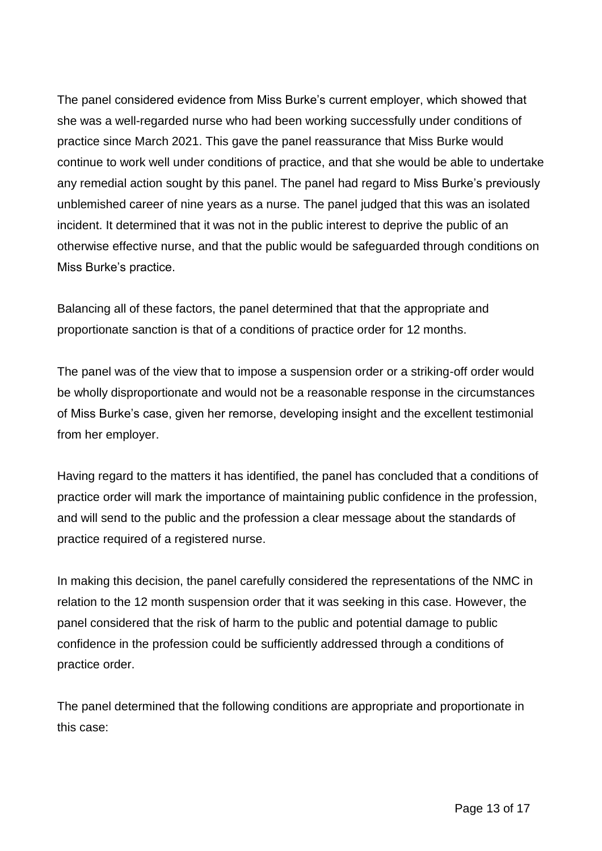The panel considered evidence from Miss Burke's current employer, which showed that she was a well-regarded nurse who had been working successfully under conditions of practice since March 2021. This gave the panel reassurance that Miss Burke would continue to work well under conditions of practice, and that she would be able to undertake any remedial action sought by this panel. The panel had regard to Miss Burke's previously unblemished career of nine years as a nurse. The panel judged that this was an isolated incident. It determined that it was not in the public interest to deprive the public of an otherwise effective nurse, and that the public would be safeguarded through conditions on Miss Burke's practice.

Balancing all of these factors, the panel determined that that the appropriate and proportionate sanction is that of a conditions of practice order for 12 months.

The panel was of the view that to impose a suspension order or a striking-off order would be wholly disproportionate and would not be a reasonable response in the circumstances of Miss Burke's case, given her remorse, developing insight and the excellent testimonial from her employer.

Having regard to the matters it has identified, the panel has concluded that a conditions of practice order will mark the importance of maintaining public confidence in the profession, and will send to the public and the profession a clear message about the standards of practice required of a registered nurse.

In making this decision, the panel carefully considered the representations of the NMC in relation to the 12 month suspension order that it was seeking in this case. However, the panel considered that the risk of harm to the public and potential damage to public confidence in the profession could be sufficiently addressed through a conditions of practice order.

The panel determined that the following conditions are appropriate and proportionate in this case: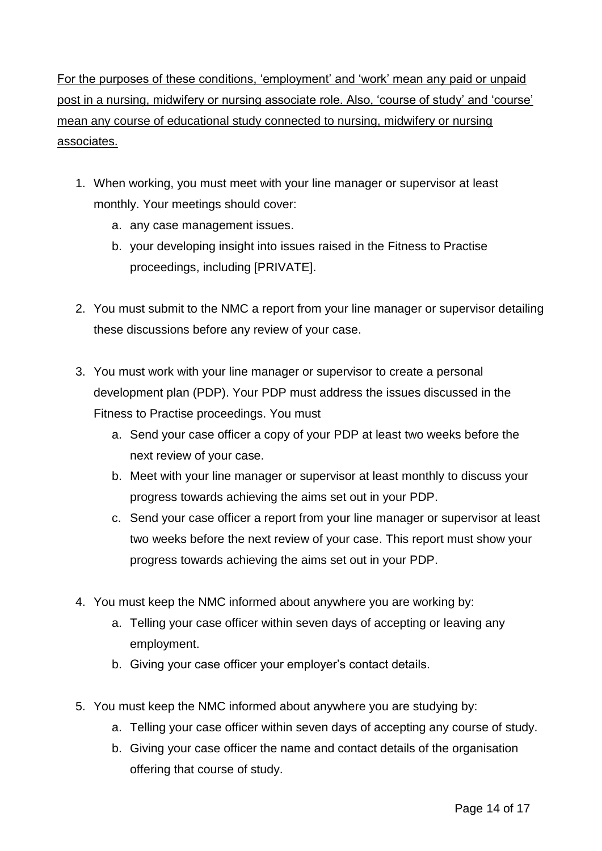For the purposes of these conditions, 'employment' and 'work' mean any paid or unpaid post in a nursing, midwifery or nursing associate role. Also, 'course of study' and 'course' mean any course of educational study connected to nursing, midwifery or nursing associates.

- 1. When working, you must meet with your line manager or supervisor at least monthly. Your meetings should cover:
	- a. any case management issues.
	- b. your developing insight into issues raised in the Fitness to Practise proceedings, including [PRIVATE].
- 2. You must submit to the NMC a report from your line manager or supervisor detailing these discussions before any review of your case.
- 3. You must work with your line manager or supervisor to create a personal development plan (PDP). Your PDP must address the issues discussed in the Fitness to Practise proceedings. You must
	- a. Send your case officer a copy of your PDP at least two weeks before the next review of your case.
	- b. Meet with your line manager or supervisor at least monthly to discuss your progress towards achieving the aims set out in your PDP.
	- c. Send your case officer a report from your line manager or supervisor at least two weeks before the next review of your case. This report must show your progress towards achieving the aims set out in your PDP.
- 4. You must keep the NMC informed about anywhere you are working by:
	- a. Telling your case officer within seven days of accepting or leaving any employment.
	- b. Giving your case officer your employer's contact details.
- 5. You must keep the NMC informed about anywhere you are studying by:
	- a. Telling your case officer within seven days of accepting any course of study.
	- b. Giving your case officer the name and contact details of the organisation offering that course of study.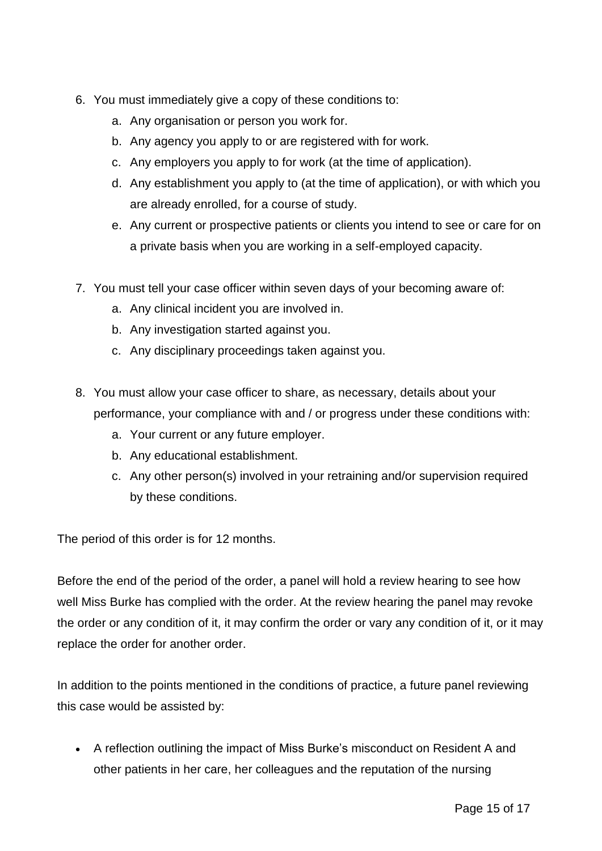- 6. You must immediately give a copy of these conditions to:
	- a. Any organisation or person you work for.
	- b. Any agency you apply to or are registered with for work.
	- c. Any employers you apply to for work (at the time of application).
	- d. Any establishment you apply to (at the time of application), or with which you are already enrolled, for a course of study.
	- e. Any current or prospective patients or clients you intend to see or care for on a private basis when you are working in a self-employed capacity.
- 7. You must tell your case officer within seven days of your becoming aware of:
	- a. Any clinical incident you are involved in.
	- b. Any investigation started against you.
	- c. Any disciplinary proceedings taken against you.
- 8. You must allow your case officer to share, as necessary, details about your performance, your compliance with and / or progress under these conditions with:
	- a. Your current or any future employer.
	- b. Any educational establishment.
	- c. Any other person(s) involved in your retraining and/or supervision required by these conditions.

The period of this order is for 12 months.

Before the end of the period of the order, a panel will hold a review hearing to see how well Miss Burke has complied with the order. At the review hearing the panel may revoke the order or any condition of it, it may confirm the order or vary any condition of it, or it may replace the order for another order.

In addition to the points mentioned in the conditions of practice, a future panel reviewing this case would be assisted by:

 A reflection outlining the impact of Miss Burke's misconduct on Resident A and other patients in her care, her colleagues and the reputation of the nursing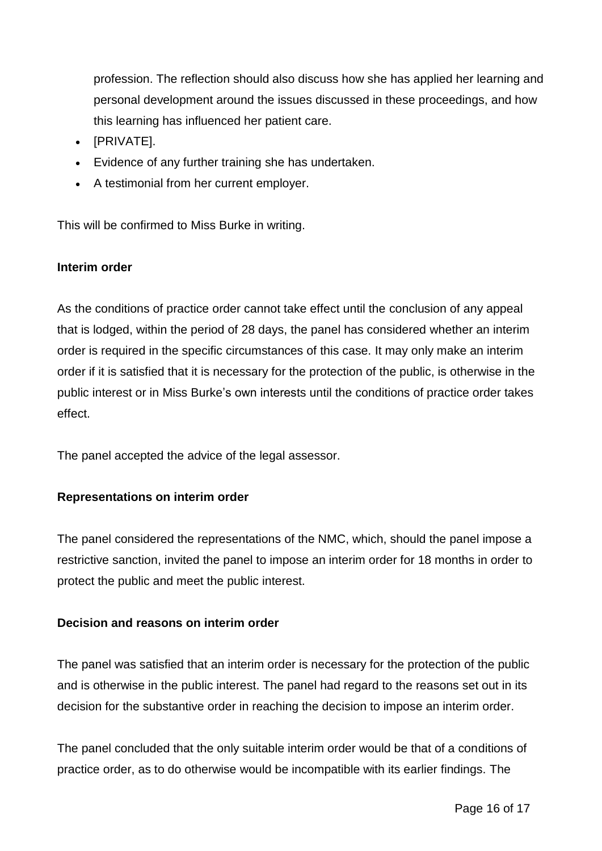profession. The reflection should also discuss how she has applied her learning and personal development around the issues discussed in these proceedings, and how this learning has influenced her patient care.

- [PRIVATE].
- Evidence of any further training she has undertaken.
- A testimonial from her current employer.

This will be confirmed to Miss Burke in writing.

## **Interim order**

As the conditions of practice order cannot take effect until the conclusion of any appeal that is lodged, within the period of 28 days, the panel has considered whether an interim order is required in the specific circumstances of this case. It may only make an interim order if it is satisfied that it is necessary for the protection of the public, is otherwise in the public interest or in Miss Burke's own interests until the conditions of practice order takes effect.

The panel accepted the advice of the legal assessor.

## **Representations on interim order**

The panel considered the representations of the NMC, which, should the panel impose a restrictive sanction, invited the panel to impose an interim order for 18 months in order to protect the public and meet the public interest.

## **Decision and reasons on interim order**

The panel was satisfied that an interim order is necessary for the protection of the public and is otherwise in the public interest. The panel had regard to the reasons set out in its decision for the substantive order in reaching the decision to impose an interim order.

The panel concluded that the only suitable interim order would be that of a conditions of practice order, as to do otherwise would be incompatible with its earlier findings. The